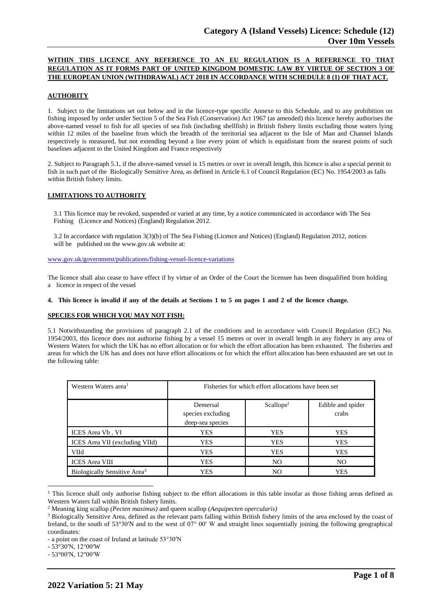# **WITHIN THIS LICENCE ANY REFERENCE TO AN EU REGULATION IS A REFERENCE TO THAT REGULATION AS IT FORMS PART OF UNITED KINGDOM DOMESTIC LAW BY VIRTUE OF SECTION 3 OF THE EUROPEAN UNION (WITHDRAWAL) ACT 2018 IN ACCORDANCE WITH SCHEDULE 8 (1) OF THAT ACT.**

## **AUTHORITY**

1. Subject to the limitations set out below and in the licence-type specific Annexe to this Schedule, and to any prohibition on fishing imposed by order under Section 5 of the Sea Fish (Conservation) Act 1967 (as amended) this licence hereby authorises the above-named vessel to fish for all species of sea fish (including shellfish) in British fishery limits excluding those waters lying within 12 miles of the baseline from which the breadth of the territorial sea adjacent to the Isle of Man and Channel Islands respectively is measured, but not extending beyond a line every point of which is equidistant from the nearest points of such baselines adjacent to the United Kingdom and France respectively

2. Subject to Paragraph 5.1, if the above-named vessel is 15 metres or over in overall length, this licence is also a special permit to fish in such part of the Biologically Sensitive Area, as defined in Article 6.1 of Council Regulation (EC) No. 1954/2003 as falls within British fishery limits.

### **LIMITATIONS TO AUTHORITY**

3.1 This licence may be revoked, suspended or varied at any time, by a notice communicated in accordance with The Sea Fishing (Licence and Notices) (England) Regulation 2012.

3.2 In accordance with regulation 3(3)(b) of The Sea Fishing (Licence and Notices) (England) Regulation 2012, notices will be published on the [www.gov.uk](http://www.gov.uk/) website at:

[www.gov.uk/government/publications/fishing-vessel-licence-variations](http://www.gov.uk/government/publications/fishing-vessel-licence-variations)

The licence shall also cease to have effect if by virtue of an Order of the Court the licensee has been disqualified from holding a licence in respect of the vessel

### 4. This licence is invalid if any of the details at Sections 1 to 5 on pages 1 and 2 of the licence change.

### **SPECIES FOR WHICH YOU MAY NOT FISH:**

5.1 Notwithstanding the provisions of paragraph 2.1 of the conditions and in accordance with Council Regulation (EC) No. 1954/2003, this licence does not authorise fishing by a vessel 15 metres or over in overall length in any fishery in any area of Western Waters for which the UK has no effort allocation or for which the effort allocation has been exhausted. The fisheries and areas for which the UK has and does not have effort allocations or for which the effort allocation has been exhausted are set out in the following table:

| Western Waters area <sup>1</sup>         | Fisheries for which effort allocations have been set |                       |                            |
|------------------------------------------|------------------------------------------------------|-----------------------|----------------------------|
|                                          | Demersal<br>species excluding<br>deep-sea species    | Scallops <sup>2</sup> | Edible and spider<br>crabs |
| ICES Area Vb, VI                         | <b>YES</b>                                           | <b>YES</b>            | <b>YES</b>                 |
| ICES Area VII (excluding VIId)           | <b>YES</b>                                           | <b>YES</b>            | <b>YES</b>                 |
| VIId                                     | <b>YES</b>                                           | <b>YES</b>            | <b>YES</b>                 |
| <b>ICES</b> Area VIII                    | <b>YES</b>                                           | N <sub>O</sub>        | N <sub>O</sub>             |
| Biologically Sensitive Area <sup>3</sup> | <b>YES</b>                                           | N <sub>O</sub>        | <b>YES</b>                 |

<sup>1</sup> This licence shall only authorise fishing subject to the effort allocations in this table insofar as those fishing areas defined as Western Waters fall within British fishery limits.

- 53°30′N, 12°00′W

<sup>2</sup> Meaning king scallop *(Pecten maximus)* and queen scallop (*Aequipecten opercularis)*

<sup>&</sup>lt;sup>3</sup> Biologically Sensitive Area, defined as the relevant parts falling within British fishery limits of the area enclosed by the coast of Ireland, to the south of 53°30′N and to the west of 07° 00′ W and straight lines sequentially joining the following geographical coordinates:

<sup>-</sup> a point on the coast of Ireland at latitude 53°30′N

<sup>-</sup> 53°00′N, 12°00′W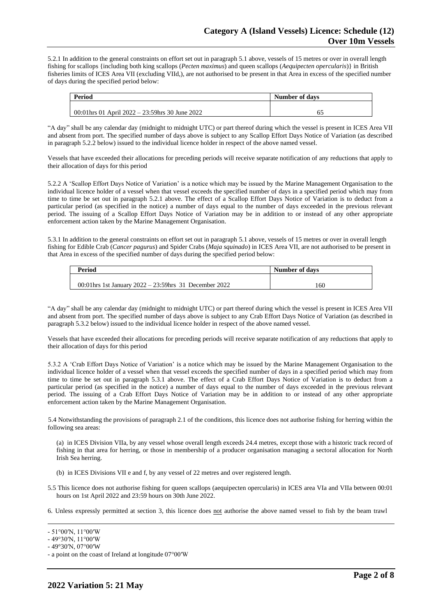5.2.1 In addition to the general constraints on effort set out in paragraph 5.1 above, vessels of 15 metres or over in overall length fishing for scallops {including both king scallops (*Pecten maximus*) and queen scallops (*Aequipecten opercularis*)} in British fisheries limits of ICES Area VII (excluding VIId,), are not authorised to be present in that Area in excess of the specified number of days during the specified period below:

| Period                                           | Number of days |  |
|--------------------------------------------------|----------------|--|
|                                                  |                |  |
| 00:01 hrs 01 April 2022 – 23:59 hrs 30 June 2022 | 62             |  |

"A day" shall be any calendar day (midnight to midnight UTC) or part thereof during which the vessel is present in ICES Area VII and absent from port. The specified number of days above is subject to any Scallop Effort Days Notice of Variation (as described in paragraph 5.2.2 below) issued to the individual licence holder in respect of the above named vessel.

Vessels that have exceeded their allocations for preceding periods will receive separate notification of any reductions that apply to their allocation of days for this period

5.2.2 A 'Scallop Effort Days Notice of Variation' is a notice which may be issued by the Marine Management Organisation to the individual licence holder of a vessel when that vessel exceeds the specified number of days in a specified period which may from time to time be set out in paragraph 5.2.1 above. The effect of a Scallop Effort Days Notice of Variation is to deduct from a particular period (as specified in the notice) a number of days equal to the number of days exceeded in the previous relevant period. The issuing of a Scallop Effort Days Notice of Variation may be in addition to or instead of any other appropriate enforcement action taken by the Marine Management Organisation.

5.3.1 In addition to the general constraints on effort set out in paragraph 5.1 above, vessels of 15 metres or over in overall length fishing for Edible Crab (*Cancer pagurus*) and Spider Crabs (*Maja squinado*) in ICES Area VII, are not authorised to be present in that Area in excess of the specified number of days during the specified period below:

| <b>Period</b>                                             | Number of days |  |
|-----------------------------------------------------------|----------------|--|
|                                                           |                |  |
| 00:01 hrs 1st January $2022 - 23:59$ hrs 31 December 2022 | 160            |  |

"A day" shall be any calendar day (midnight to midnight UTC) or part thereof during which the vessel is present in ICES Area VII and absent from port. The specified number of days above is subject to any Crab Effort Days Notice of Variation (as described in paragraph 5.3.2 below) issued to the individual licence holder in respect of the above named vessel.

Vessels that have exceeded their allocations for preceding periods will receive separate notification of any reductions that apply to their allocation of days for this period

5.3.2 A 'Crab Effort Days Notice of Variation' is a notice which may be issued by the Marine Management Organisation to the individual licence holder of a vessel when that vessel exceeds the specified number of days in a specified period which may from time to time be set out in paragraph 5.3.1 above. The effect of a Crab Effort Days Notice of Variation is to deduct from a particular period (as specified in the notice) a number of days equal to the number of days exceeded in the previous relevant period. The issuing of a Crab Effort Days Notice of Variation may be in addition to or instead of any other appropriate enforcement action taken by the Marine Management Organisation.

5.4 Notwithstanding the provisions of paragraph 2.1 of the conditions, this licence does not authorise fishing for herring within the following sea areas:

(a) in ICES Division VIIa, by any vessel whose overall length exceeds 24.4 metres, except those with a historic track record of fishing in that area for herring, or those in membership of a producer organisation managing a sectoral allocation for North Irish Sea herring.

- (b) in ICES Divisions VII e and f, by any vessel of 22 metres and over registered length.
- 5.5 This licence does not authorise fishing for queen scallops (aequipecten opercularis) in ICES area VIa and VIIa between 00:01 hours on 1st April 2022 and 23:59 hours on 30th June 2022.
- 6. Unless expressly permitted at section 3, this licence does not authorise the above named vessel to fish by the beam trawl

<sup>-</sup> 51°00′N, 11°00′W

<sup>-</sup> 49°30′N, 11°00′W

<sup>-</sup> 49°30′N, 07°00′W

<sup>-</sup> a point on the coast of Ireland at longitude 07°00′W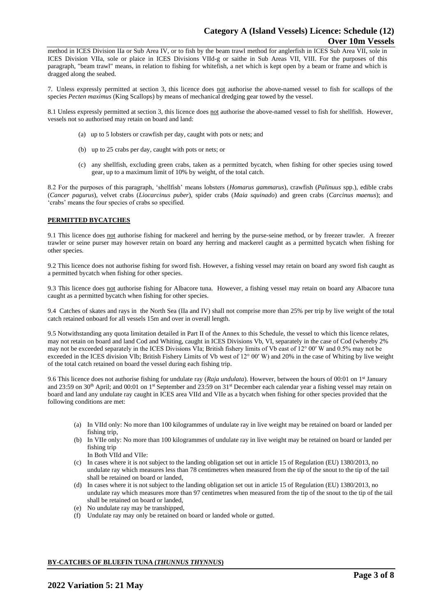method in ICES Division IIa or Sub Area IV, or to fish by the beam trawl method for anglerfish in ICES Sub Area VII, sole in ICES Division VIIa, sole or plaice in ICES Divisions VIId-g or saithe in Sub Areas VII, VIII. For the purposes of this paragraph, "beam trawl" means, in relation to fishing for whitefish, a net which is kept open by a beam or frame and which is dragged along the seabed.

7. Unless expressly permitted at section 3, this licence does not authorise the above-named vessel to fish for scallops of the species *Pecten maximus* (King Scallops) by means of mechanical dredging gear towed by the vessel.

8.1 Unless expressly permitted at section 3, this licence does not authorise the above-named vessel to fish for shellfish. However, vessels not so authorised may retain on board and land:

- (a) up to 5 lobsters or crawfish per day, caught with pots or nets; and
- (b) up to 25 crabs per day, caught with pots or nets; or
- (c) any shellfish, excluding green crabs, taken as a permitted bycatch, when fishing for other species using towed gear, up to a maximum limit of 10% by weight, of the total catch.

8.2 For the purposes of this paragraph, 'shellfish' means lobsters (*Homarus gammarus*), crawfish (*Palinuus* spp.), edible crabs (*Cancer pagurus*), velvet crabs (*Liocarcinus puber*), spider crabs (*Maia squinado*) and green crabs (*Carcinus maenus*); and 'crabs' means the four species of crabs so specified.

## **PERMITTED BYCATCHES**

9.1 This licence does not authorise fishing for mackerel and herring by the purse-seine method, or by freezer trawler. A freezer trawler or seine purser may however retain on board any herring and mackerel caught as a permitted bycatch when fishing for other species.

9.2 This licence does not authorise fishing for sword fish. However, a fishing vessel may retain on board any sword fish caught as a permitted bycatch when fishing for other species.

9.3 This licence does not authorise fishing for Albacore tuna. However, a fishing vessel may retain on board any Albacore tuna caught as a permitted bycatch when fishing for other species.

9.4 Catches of skates and rays in the North Sea (IIa and IV) shall not comprise more than 25% per trip by live weight of the total catch retained onboard for all vessels 15m and over in overall length.

9.5 Notwithstanding any quota limitation detailed in Part II of the Annex to this Schedule, the vessel to which this licence relates, may not retain on board and land Cod and Whiting, caught in ICES Divisions Vb, VI, separately in the case of Cod (whereby 2% may not be exceeded separately in the ICES Divisions VIa; British fishery limits of Vb east of 12° 00′ W and 0.5% may not be exceeded in the ICES division VIb; British Fishery Limits of Vb west of 12° 00′ W) and 20% in the case of Whiting by live weight of the total catch retained on board the vessel during each fishing trip.

9.6 This licence does not authorise fishing for undulate ray (*Raja undulata*). However, between the hours of 00:01 on 1<sup>st</sup> January and 23:59 on 30<sup>th</sup> April; and 00:01 on 1<sup>st</sup> September and 23:59 on 31<sup>st</sup> December each calendar year a fishing vessel may retain on board and land any undulate ray caught in ICES area VIId and VIIe as a bycatch when fishing for other species provided that the following conditions are met:

- (a) In VIId only: No more than 100 kilogrammes of undulate ray in live weight may be retained on board or landed per fishing trip,
- (b) In VIIe only: No more than 100 kilogrammes of undulate ray in live weight may be retained on board or landed per fishing trip

In Both VIId and VIIe:

- (c) In cases where it is not subject to the landing obligation set out in article 15 of Regulation (EU) 1380/2013, no undulate ray which measures less than 78 centimetres when measured from the tip of the snout to the tip of the tail shall be retained on board or landed,
- (d) In cases where it is not subject to the landing obligation set out in article 15 of Regulation (EU) 1380/2013, no undulate ray which measures more than 97 centimetres when measured from the tip of the snout to the tip of the tail shall be retained on board or landed,
- (e) No undulate ray may be transhipped,
- (f) Undulate ray may only be retained on board or landed whole or gutted.

## **BY-CATCHES OF BLUEFIN TUNA (***THUNNUS THYNNUS***)**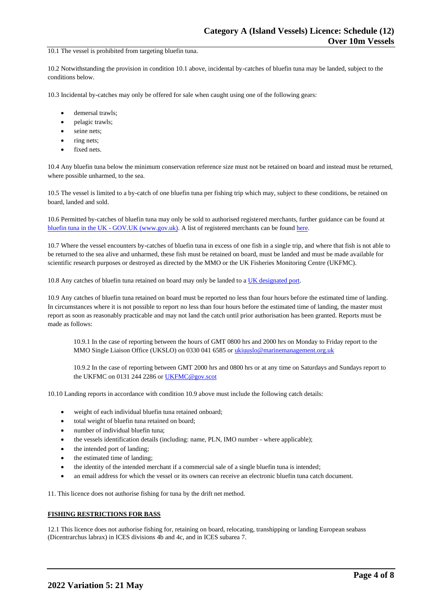10.1 The vessel is prohibited from targeting bluefin tuna.

10.2 Notwithstanding the provision in condition 10.1 above, incidental by-catches of bluefin tuna may be landed, subject to the conditions below.

10.3 Incidental by-catches may only be offered for sale when caught using one of the following gears:

- demersal trawls;
- pelagic trawls;
- seine nets;
- ring nets;
- fixed nets.

10.4 Any bluefin tuna below the minimum conservation reference size must not be retained on board and instead must be returned, where possible unharmed, to the sea.

10.5 The vessel is limited to a by-catch of one bluefin tuna per fishing trip which may, subject to these conditions, be retained on board, landed and sold.

10.6 Permitted by-catches of bluefin tuna may only be sold to authorised registered merchants, further guidance can be found at bluefin tuna in the UK - [GOV.UK \(www.gov.uk\).](https://www.gov.uk/guidance/bluefin-tuna-in-the-uk) A list of registered merchants can be found [here.](https://www.gov.uk/government/publications/bluefin-tuna-traders/registered-bluefin-tuna-traders)

10.7 Where the vessel encounters by-catches of bluefin tuna in excess of one fish in a single trip, and where that fish is not able to be returned to the sea alive and unharmed, these fish must be retained on board, must be landed and must be made available for scientific research purposes or destroyed as directed by the MMO or the UK Fisheries Monitoring Centre (UKFMC).

10.8 Any catches of bluefin tuna retained on board may only be landed to a [UK designated port.](https://www.gov.uk/government/publications/designated-ports/designated-ports-for-uk-flagged-vessels-landing-bluefin-tuna)

10.9 Any catches of bluefin tuna retained on board must be reported no less than four hours before the estimated time of landing. In circumstances where it is not possible to report no less than four hours before the estimated time of landing, the master must report as soon as reasonably practicable and may not land the catch until prior authorisation has been granted. Reports must be made as follows:

10.9.1 In the case of reporting between the hours of GMT 0800 hrs and 2000 hrs on Monday to Friday report to the MMO Single Liaison Office (UKSLO) on 0330 041 6585 o[r ukiuuslo@marinemanagement.org.uk](mailto:ukiuuslo@marinemanagement.org.uk)

10.9.2 In the case of reporting between GMT 2000 hrs and 0800 hrs or at any time on Saturdays and Sundays report to the UKFMC on 0131 244 2286 o[r UKFMC@gov.scot](mailto:UKFMC@gov.scot)

10.10 Landing reports in accordance with condition 10.9 above must include the following catch details:

- weight of each individual bluefin tuna retained onboard;
- total weight of bluefin tuna retained on board:
- number of individual bluefin tuna;
- the vessels identification details (including: name, PLN, IMO number where applicable);
- the intended port of landing;
- the estimated time of landing;
- the identity of the intended merchant if a commercial sale of a single bluefin tuna is intended;
- an email address for which the vessel or its owners can receive an electronic bluefin tuna catch document.

11. This licence does not authorise fishing for tuna by the drift net method.

## **FISHING RESTRICTIONS FOR BASS**

12.1 This licence does not authorise fishing for, retaining on board, relocating, transhipping or landing European seabass (Dicentrarchus labrax) in ICES divisions 4b and 4c, and in ICES subarea 7.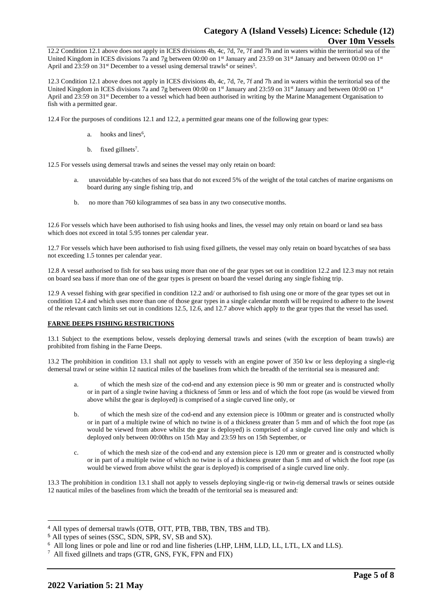12.2 Condition 12.1 above does not apply in ICES divisions 4b, 4c, 7d, 7e, 7f and 7h and in waters within the territorial sea of the United Kingdom in ICES divisions 7a and 7g between 00:00 on 1<sup>st</sup> January and 23.59 on 31<sup>st</sup> January and between 00:00 on 1<sup>st</sup> April and 23:59 on  $31^{st}$  December to a vessel using demersal trawls<sup>4</sup> or seines<sup>5</sup>.

12.3 Condition 12.1 above does not apply in ICES divisions 4b, 4c, 7d, 7e, 7f and 7h and in waters within the territorial sea of the United Kingdom in ICES divisions 7a and 7g between 00:00 on 1<sup>st</sup> January and 23:59 on 31<sup>st</sup> January and between 00:00 on 1<sup>st</sup> April and 23:59 on 31<sup>st</sup> December to a vessel which had been authorised in writing by the Marine Management Organisation to fish with a permitted gear.

12.4 For the purposes of conditions 12.1 and 12.2, a permitted gear means one of the following gear types:

- a. hooks and lines<sup>6</sup>,
- b. fixed gillnets<sup>7</sup>.

12.5 For vessels using demersal trawls and seines the vessel may only retain on board:

- a. unavoidable by-catches of sea bass that do not exceed 5% of the weight of the total catches of marine organisms on board during any single fishing trip, and
- b. no more than 760 kilogrammes of sea bass in any two consecutive months.

12.6 For vessels which have been authorised to fish using hooks and lines, the vessel may only retain on board or land sea bass which does not exceed in total 5.95 tonnes per calendar year.

12.7 For vessels which have been authorised to fish using fixed gillnets, the vessel may only retain on board bycatches of sea bass not exceeding 1.5 tonnes per calendar year.

12.8 A vessel authorised to fish for sea bass using more than one of the gear types set out in condition 12.2 and 12.3 may not retain on board sea bass if more than one of the gear types is present on board the vessel during any single fishing trip.

12.9 A vessel fishing with gear specified in condition 12.2 and/ or authorised to fish using one or more of the gear types set out in condition 12.4 and which uses more than one of those gear types in a single calendar month will be required to adhere to the lowest of the relevant catch limits set out in conditions 12.5, 12.6, and 12.7 above which apply to the gear types that the vessel has used.

# **FARNE DEEPS FISHING RESTRICTIONS**

13.1 Subject to the exemptions below, vessels deploying demersal trawls and seines (with the exception of beam trawls) are prohibited from fishing in the Farne Deeps.

13.2 The prohibition in condition 13.1 shall not apply to vessels with an engine power of 350 kw or less deploying a single-rig demersal trawl or seine within 12 nautical miles of the baselines from which the breadth of the territorial sea is measured and:

- of which the mesh size of the cod-end and any extension piece is 90 mm or greater and is constructed wholly or in part of a single twine having a thickness of 5mm or less and of which the foot rope (as would be viewed from above whilst the gear is deployed) is comprised of a single curved line only, or
- b. of which the mesh size of the cod-end and any extension piece is 100mm or greater and is constructed wholly or in part of a multiple twine of which no twine is of a thickness greater than 5 mm and of which the foot rope (as would be viewed from above whilst the gear is deployed) is comprised of a single curved line only and which is deployed only between 00:00hrs on 15th May and 23:59 hrs on 15th September, or
- c. of which the mesh size of the cod-end and any extension piece is 120 mm or greater and is constructed wholly or in part of a multiple twine of which no twine is of a thickness greater than 5 mm and of which the foot rope (as would be viewed from above whilst the gear is deployed) is comprised of a single curved line only.

13.3 The prohibition in condition 13.1 shall not apply to vessels deploying single-rig or twin-rig demersal trawls or seines outside 12 nautical miles of the baselines from which the breadth of the territorial sea is measured and:

<sup>4</sup> All types of demersal trawls (OTB, OTT, PTB, TBB, TBN, TBS and TB).

<sup>5</sup> All types of seines (SSC, SDN, SPR, SV, SB and SX).

<sup>6</sup> All long lines or pole and line or rod and line fisheries (LHP, LHM, LLD, LL, LTL, LX and LLS).

<sup>&</sup>lt;sup>7</sup> All fixed gillnets and traps (GTR, GNS, FYK, FPN and FIX)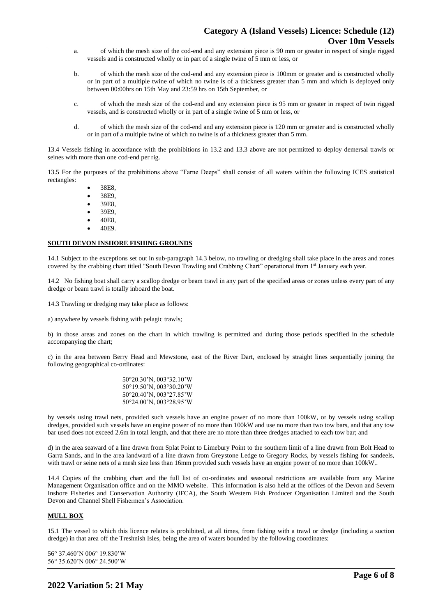- a. of which the mesh size of the cod-end and any extension piece is 90 mm or greater in respect of single rigged vessels and is constructed wholly or in part of a single twine of 5 mm or less, or
- b. of which the mesh size of the cod-end and any extension piece is 100mm or greater and is constructed wholly or in part of a multiple twine of which no twine is of a thickness greater than 5 mm and which is deployed only between 00:00hrs on 15th May and 23:59 hrs on 15th September, or
- c. of which the mesh size of the cod-end and any extension piece is 95 mm or greater in respect of twin rigged vessels, and is constructed wholly or in part of a single twine of 5 mm or less, or
- d. of which the mesh size of the cod-end and any extension piece is 120 mm or greater and is constructed wholly or in part of a multiple twine of which no twine is of a thickness greater than 5 mm.

13.4 Vessels fishing in accordance with the prohibitions in 13.2 and 13.3 above are not permitted to deploy demersal trawls or seines with more than one cod-end per rig.

13.5 For the purposes of the prohibitions above "Farne Deeps" shall consist of all waters within the following ICES statistical rectangles:

• 38E8,

- 38E9.
- 39E8,
- 39E9,
- 40E8,
- 40E9.

### **SOUTH DEVON INSHORE FISHING GROUNDS**

14.1 Subject to the exceptions set out in sub-paragraph 14.3 below, no trawling or dredging shall take place in the areas and zones covered by the crabbing chart titled "South Devon Trawling and Crabbing Chart" operational from 1st January each year.

14.2 No fishing boat shall carry a scallop dredge or beam trawl in any part of the specified areas or zones unless every part of any dredge or beam trawl is totally inboard the boat.

14.3 Trawling or dredging may take place as follows:

a) anywhere by vessels fishing with pelagic trawls;

b) in those areas and zones on the chart in which trawling is permitted and during those periods specified in the schedule accompanying the chart;

c) in the area between Berry Head and Mewstone, east of the River Dart, enclosed by straight lines sequentially joining the following geographical co-ordinates:

> 50°20.30'N, 003°32.10'W 50°19.50'N, 003°30.20'W 50°20.40'N, 003°27.85'W 50°24.00'N, 003°28.95'W

by vessels using trawl nets, provided such vessels have an engine power of no more than 100kW, or by vessels using scallop dredges, provided such vessels have an engine power of no more than 100kW and use no more than two tow bars, and that any tow bar used does not exceed 2.6m in total length, and that there are no more than three dredges attached to each tow bar; and

d) in the area seaward of a line drawn from Splat Point to Limebury Point to the southern limit of a line drawn from Bolt Head to Garra Sands, and in the area landward of a line drawn from Greystone Ledge to Gregory Rocks, by vessels fishing for sandeels, with trawl or seine nets of a mesh size less than 16mm provided such vessels have an engine power of no more than  $100kW$ .

14.4 Copies of the crabbing chart and the full list of co-ordinates and seasonal restrictions are available from any Marine Management Organisation office and on the MMO website. This information is also held at the offices of the Devon and Severn Inshore Fisheries and Conservation Authority (IFCA), the South Western Fish Producer Organisation Limited and the South Devon and Channel Shell Fishermen's Association.

# **MULL BOX**

15.1 The vessel to which this licence relates is prohibited, at all times, from fishing with a trawl or dredge (including a suction dredge) in that area off the Treshnish Isles, being the area of waters bounded by the following coordinates:

56° 37.460'N 006° 19.830'W 56° 35.620'N 006° 24.500'W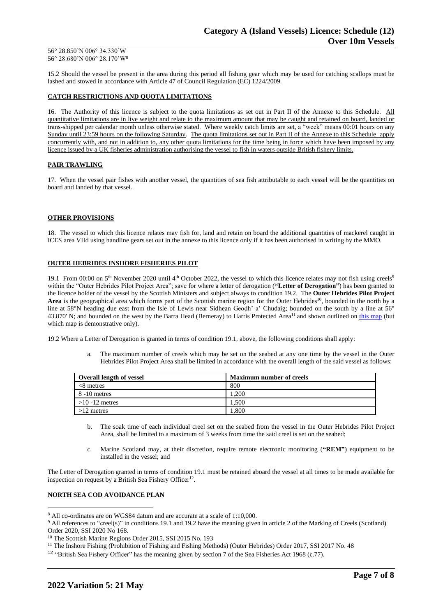#### 56° 28.850'N 006° 34.330'W 56° 28.680'N 006° 28.170'W<sup>8</sup>

15.2 Should the vessel be present in the area during this period all fishing gear which may be used for catching scallops must be lashed and stowed in accordance with Article 47 of Council Regulation (EC) 1224/2009.

## **CATCH RESTRICTIONS AND QUOTA LIMITATIONS**

16. The Authority of this licence is subject to the quota limitations as set out in Part II of the Annexe to this Schedule. All quantitative limitations are in live weight and relate to the maximum amount that may be caught and retained on board, landed or trans-shipped per calendar month unless otherwise stated. Where weekly catch limits are set, a "week" means 00:01 hours on any Sunday until 23:59 hours on the following Saturday. The quota limitations set out in Part II of the Annexe to this Schedule apply concurrently with, and not in addition to, any other quota limitations for the time being in force which have been imposed by any licence issued by a UK fisheries administration authorising the vessel to fish in waters outside British fishery limits.

## **PAIR TRAWLING**

17. When the vessel pair fishes with another vessel, the quantities of sea fish attributable to each vessel will be the quantities on board and landed by that vessel.

### **OTHER PROVISIONS**

18. The vessel to which this licence relates may fish for, land and retain on board the additional quantities of mackerel caught in ICES area VIId using handline gears set out in the annexe to this licence only if it has been authorised in writing by the MMO.

### **OUTER HEBRIDES INSHORE FISHERIES PILOT**

19.1 From 00:00 on  $5<sup>th</sup>$  November 2020 until 4<sup>th</sup> October 2022, the vessel to which this licence relates may not fish using creels<sup>9</sup> within the "Outer Hebrides Pilot Project Area"; save for where a letter of derogation (**"Letter of Derogation"**) has been granted to the licence holder of the vessel by the Scottish Ministers and subject always to condition 19.2. The **Outer Hebrides Pilot Project**  Area is the geographical area which forms part of the Scottish marine region for the Outer Hebrides<sup>10</sup>, bounded in the north by a line at 58°N heading due east from the Isle of Lewis near Sidhean Geodh' a' Chudaig; bounded on the south by a line at 56° 43.870' N; and bounded on the west by the Barra Head (Berneray) to Harris Protected Area<sup>11</sup> and shown outlined on [this map](https://www.gov.scot/publications/outer-hebrides-inshore-fisheries-pilot-area) (but which map is demonstrative only).

19.2 Where a Letter of Derogation is granted in terms of condition 19.1, above, the following conditions shall apply:

a. The maximum number of creels which may be set on the seabed at any one time by the vessel in the Outer Hebrides Pilot Project Area shall be limited in accordance with the overall length of the said vessel as follows:

| <b>Overall length of vessel</b> | <b>Maximum number of creels</b> |
|---------------------------------|---------------------------------|
| $<8$ metres                     | 800                             |
| 8 -10 metres                    | .200                            |
| $>10 - 12$ metres               | .500                            |
| $>12$ metres                    | .800                            |

- b. The soak time of each individual creel set on the seabed from the vessel in the Outer Hebrides Pilot Project Area, shall be limited to a maximum of 3 weeks from time the said creel is set on the seabed;
- c. Marine Scotland may, at their discretion, require remote electronic monitoring (**"REM"**) equipment to be installed in the vessel; and

The Letter of Derogation granted in terms of condition 19.1 must be retained aboard the vessel at all times to be made available for inspection on request by a British Sea Fishery Officer<sup>12</sup>.

### **NORTH SEA COD AVOIDANCE PLAN**

<sup>12</sup> "British Sea Fishery Officer" has the meaning given by section 7 of the Sea Fisheries Act 1968 (c.77).

<sup>8</sup> All co-ordinates are on WGS84 datum and are accurate at a scale of 1:10,000.

<sup>&</sup>lt;sup>9</sup> All references to "creel(s)" in conditions 19.1 and 19.2 have the meaning given in article 2 of the Marking of Creels (Scotland) Order 2020, SSI 2020 No 168.

<sup>&</sup>lt;sup>10</sup> The Scottish Marine Regions Order 2015, SSI 2015 No. 193

<sup>&</sup>lt;sup>11</sup> The Inshore Fishing (Prohibition of Fishing and Fishing Methods) (Outer Hebrides) Order 2017, SSI 2017 No. 48